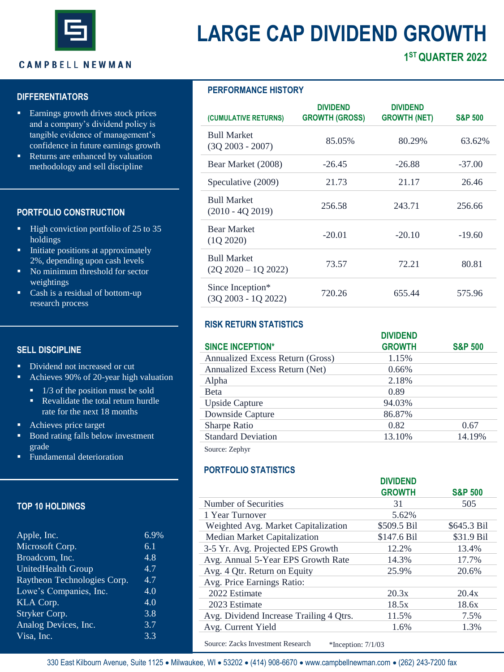

# **LARGE CAP DIVIDEND GROWTH**

## **CAMPBELL NEWMAN**

## **DIFFERENTIATORS**

- Earnings growth drives stock prices and a company's dividend policy is tangible evidence of management's confidence in future earnings growth
- Returns are enhanced by valuation methodology and sell discipline

## **PORTFOLIO CONSTRUCTION**

- High conviction portfolio of 25 to 35 holdings
- **•** Initiate positions at approximately 2%, depending upon cash levels
- No minimum threshold for sector weightings
- Cash is a residual of bottom-up research process

## **SELL DISCIPLINE**

- **•** Dividend not increased or cut
- Achieves 90% of 20-year high valuation
	- 1/3 of the position must be sold
	- **•** Revalidate the total return hurdle rate for the next 18 months
- Achieves price target
- Bond rating falls below investment grade
- **Fundamental deterioration**

## **TOP 10 HOLDINGS**

| Apple, Inc.                 | 6.9% |
|-----------------------------|------|
| Microsoft Corp.             | 6.1  |
| Broadcom, Inc.              | 4.8  |
| <b>UnitedHealth Group</b>   | 4.7  |
| Raytheon Technologies Corp. | 4.7  |
| Lowe's Companies, Inc.      | 4.0  |
| KLA Corp.                   | 4.0  |
| Stryker Corp.               | 3.8  |
| Analog Devices, Inc.        | 3.7  |
| Visa, Inc.                  | 3.3  |
|                             |      |

## **PERFORMANCE HISTORY**

| (CUMULATIVE RETURNS)                          | <b>DIVIDEND</b><br><b>GROWTH (GROSS)</b> | <b>DIVIDEND</b><br><b>GROWTH (NET)</b> | <b>S&amp;P 500</b> |
|-----------------------------------------------|------------------------------------------|----------------------------------------|--------------------|
| <b>Bull Market</b><br>$(30\,2003 - 2007)$     | 85.05%                                   | 80.29%                                 | 63.62%             |
| Bear Market (2008)                            | $-26.45$                                 | $-26.88$                               | $-37.00$           |
| Speculative (2009)                            | 21.73                                    | 21.17                                  | 26.46              |
| <b>Bull Market</b><br>$(2010 - 402019)$       | 256.58                                   | 243.71                                 | 256.66             |
| <b>Bear Market</b><br>(102020)                | $-20.01$                                 | $-20.10$                               | $-19.60$           |
| <b>Bull Market</b><br>$(20\,2020 - 10\,2022)$ | 73.57                                    | 72.21                                  | 80.81              |
| Since Inception*<br>$(3Q 2003 - 1Q 2022)$     | 720.26                                   | 655.44                                 | 575.96             |

# **RISK RETURN STATISTICS**

|                                  | <b>DIVIDEND</b> |                    |
|----------------------------------|-----------------|--------------------|
| <b>SINCE INCEPTION*</b>          | <b>GROWTH</b>   | <b>S&amp;P 500</b> |
| Annualized Excess Return (Gross) | 1.15%           |                    |
| Annualized Excess Return (Net)   | 0.66%           |                    |
| Alpha                            | 2.18%           |                    |
| <b>B</b> eta                     | 0.89            |                    |
| Upside Capture                   | 94.03%          |                    |
| Downside Capture                 | 86.87%          |                    |
| <b>Sharpe Ratio</b>              | 0.82            | 0.67               |
| <b>Standard Deviation</b>        | 13.10%          | 14.19%             |
| Source: Zephyr                   |                 |                    |

# **PORTFOLIO STATISTICS**

|                                         | <b>DIVIDEND</b> |                    |
|-----------------------------------------|-----------------|--------------------|
|                                         | <b>GROWTH</b>   | <b>S&amp;P 500</b> |
| Number of Securities                    | 31              | 505                |
| 1 Year Turnover                         | 5.62%           |                    |
| Weighted Avg. Market Capitalization     | \$509.5 Bil     | \$645.3 Bil        |
| Median Market Capitalization            | \$147.6 Bil     | \$31.9 Bil         |
| 3-5 Yr. Avg. Projected EPS Growth       | 12.2%           | 13.4%              |
| Avg. Annual 5-Year EPS Growth Rate      | 14.3%           | 17.7%              |
| Avg. 4 Qtr. Return on Equity            | 25.9%           | 20.6%              |
| Avg. Price Earnings Ratio:              |                 |                    |
| 2022 Estimate                           | 20.3x           | 20.4x              |
| 2023 Estimate                           | 18.5x           | 18.6x              |
| Avg. Dividend Increase Trailing 4 Otrs. | 11.5%           | 7.5%               |
| Avg. Current Yield                      | 1.6%            | 1.3%               |

Source: Zacks Investment Research \*Inception:  $7/1/03$ 

330 East Kilbourn Avenue, Suite 1125 • Milwaukee, WI • 53202 • (414) 908-6670 • www.campbellnewman.com • (262) 243-7200 fax

# **1 STQUARTER 2022**